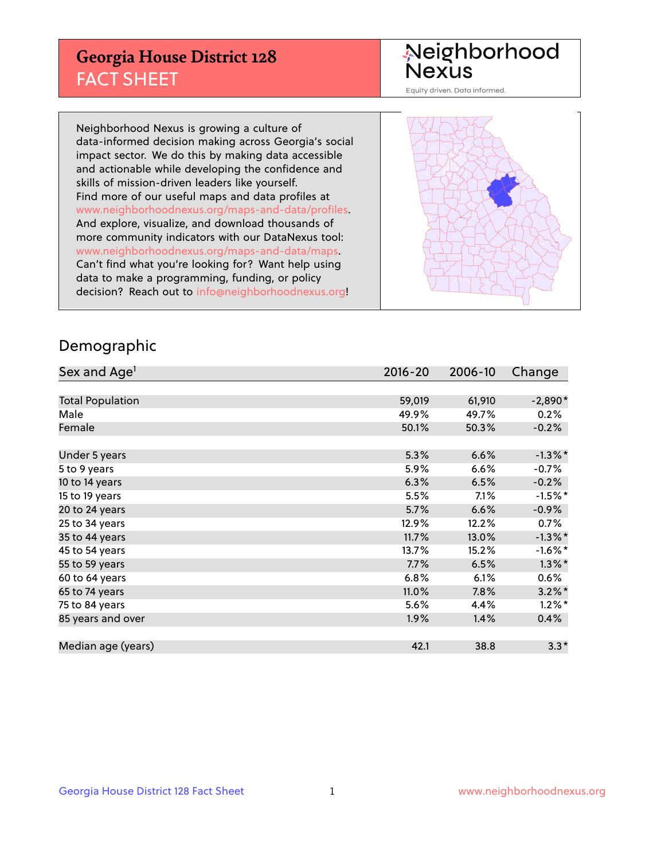## **Georgia House District 128** FACT SHEET

# Neighborhood<br>Nexus

Equity driven. Data informed.

Neighborhood Nexus is growing a culture of data-informed decision making across Georgia's social impact sector. We do this by making data accessible and actionable while developing the confidence and skills of mission-driven leaders like yourself. Find more of our useful maps and data profiles at www.neighborhoodnexus.org/maps-and-data/profiles. And explore, visualize, and download thousands of more community indicators with our DataNexus tool: www.neighborhoodnexus.org/maps-and-data/maps. Can't find what you're looking for? Want help using data to make a programming, funding, or policy decision? Reach out to [info@neighborhoodnexus.org!](mailto:info@neighborhoodnexus.org)



### Demographic

| Sex and Age <sup>1</sup> | $2016 - 20$ | 2006-10 | Change     |
|--------------------------|-------------|---------|------------|
|                          |             |         |            |
| <b>Total Population</b>  | 59,019      | 61,910  | $-2,890*$  |
| Male                     | 49.9%       | 49.7%   | 0.2%       |
| Female                   | 50.1%       | 50.3%   | $-0.2%$    |
|                          |             |         |            |
| Under 5 years            | 5.3%        | 6.6%    | $-1.3\%$ * |
| 5 to 9 years             | 5.9%        | 6.6%    | $-0.7\%$   |
| 10 to 14 years           | 6.3%        | 6.5%    | $-0.2%$    |
| 15 to 19 years           | 5.5%        | 7.1%    | $-1.5%$ *  |
| 20 to 24 years           | 5.7%        | 6.6%    | $-0.9%$    |
| 25 to 34 years           | 12.9%       | 12.2%   | $0.7\%$    |
| 35 to 44 years           | 11.7%       | 13.0%   | $-1.3\%$ * |
| 45 to 54 years           | 13.7%       | 15.2%   | $-1.6\%$ * |
| 55 to 59 years           | 7.7%        | 6.5%    | $1.3\%$ *  |
| 60 to 64 years           | 6.8%        | 6.1%    | 0.6%       |
| 65 to 74 years           | 11.0%       | 7.8%    | $3.2\%$ *  |
| 75 to 84 years           | 5.6%        | 4.4%    | $1.2\%$ *  |
| 85 years and over        | 1.9%        | 1.4%    | 0.4%       |
|                          |             |         |            |
| Median age (years)       | 42.1        | 38.8    | $3.3*$     |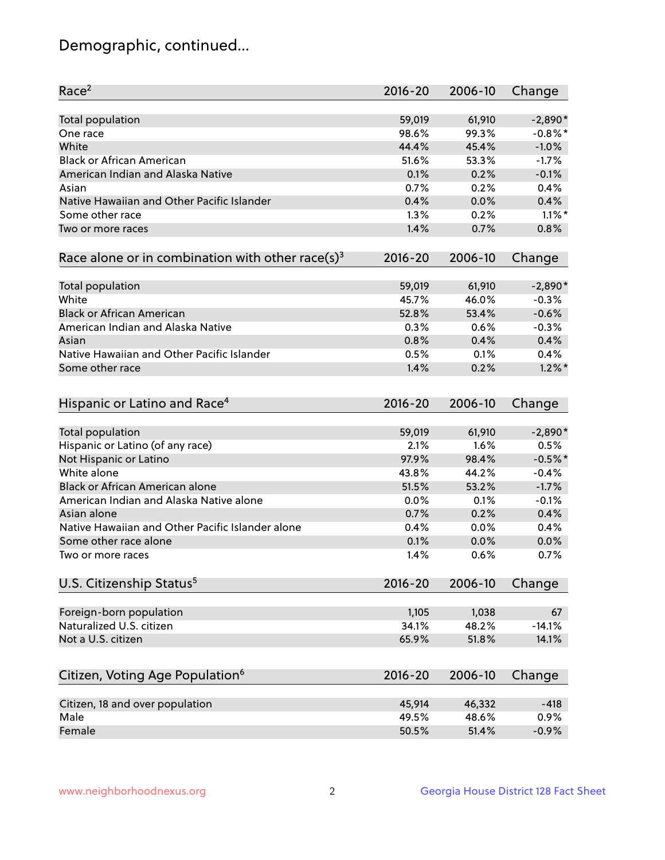## Demographic, continued...

| Race <sup>2</sup>                                            | $2016 - 20$ | 2006-10 | Change    |
|--------------------------------------------------------------|-------------|---------|-----------|
| Total population                                             | 59,019      | 61,910  | $-2,890*$ |
| One race                                                     | 98.6%       | 99.3%   | $-0.8%$ * |
| White                                                        | 44.4%       | 45.4%   | $-1.0%$   |
| <b>Black or African American</b>                             | 51.6%       | 53.3%   | $-1.7%$   |
| American Indian and Alaska Native                            | 0.1%        | 0.2%    | $-0.1%$   |
| Asian                                                        | 0.7%        | 0.2%    | 0.4%      |
| Native Hawaiian and Other Pacific Islander                   | 0.4%        | 0.0%    | 0.4%      |
| Some other race                                              | 1.3%        | 0.2%    | $1.1\%$ * |
| Two or more races                                            | 1.4%        | 0.7%    | 0.8%      |
|                                                              |             |         |           |
| Race alone or in combination with other race(s) <sup>3</sup> | $2016 - 20$ | 2006-10 | Change    |
| Total population                                             | 59,019      | 61,910  | $-2,890*$ |
| White                                                        | 45.7%       | 46.0%   | $-0.3%$   |
| <b>Black or African American</b>                             | 52.8%       | 53.4%   | $-0.6%$   |
| American Indian and Alaska Native                            | 0.3%        | 0.6%    | $-0.3%$   |
| Asian                                                        | 0.8%        | 0.4%    | 0.4%      |
| Native Hawaiian and Other Pacific Islander                   | 0.5%        | 0.1%    | 0.4%      |
| Some other race                                              | 1.4%        | 0.2%    | $1.2\%$ * |
|                                                              |             |         |           |
| Hispanic or Latino and Race <sup>4</sup>                     | $2016 - 20$ | 2006-10 | Change    |
| Total population                                             | 59,019      | 61,910  | $-2,890*$ |
| Hispanic or Latino (of any race)                             | 2.1%        | 1.6%    | 0.5%      |
| Not Hispanic or Latino                                       | 97.9%       | 98.4%   | $-0.5%$ * |
| White alone                                                  | 43.8%       | 44.2%   | $-0.4%$   |
| Black or African American alone                              | 51.5%       | 53.2%   | $-1.7%$   |
| American Indian and Alaska Native alone                      | 0.0%        | 0.1%    | $-0.1%$   |
| Asian alone                                                  | 0.7%        | 0.2%    | 0.4%      |
| Native Hawaiian and Other Pacific Islander alone             | 0.4%        | 0.0%    | 0.4%      |
| Some other race alone                                        | 0.1%        | 0.0%    | 0.0%      |
| Two or more races                                            | 1.4%        | 0.6%    | 0.7%      |
| U.S. Citizenship Status <sup>5</sup>                         | $2016 - 20$ | 2006-10 | Change    |
|                                                              |             |         |           |
| Foreign-born population                                      | 1,105       | 1,038   | 67        |
| Naturalized U.S. citizen                                     | 34.1%       | 48.2%   | $-14.1%$  |
| Not a U.S. citizen                                           | 65.9%       | 51.8%   | 14.1%     |
|                                                              |             |         |           |
| Citizen, Voting Age Population <sup>6</sup>                  | $2016 - 20$ | 2006-10 | Change    |
| Citizen, 18 and over population                              | 45,914      | 46,332  | $-418$    |
| Male                                                         | 49.5%       | 48.6%   | 0.9%      |
| Female                                                       | 50.5%       | 51.4%   | $-0.9%$   |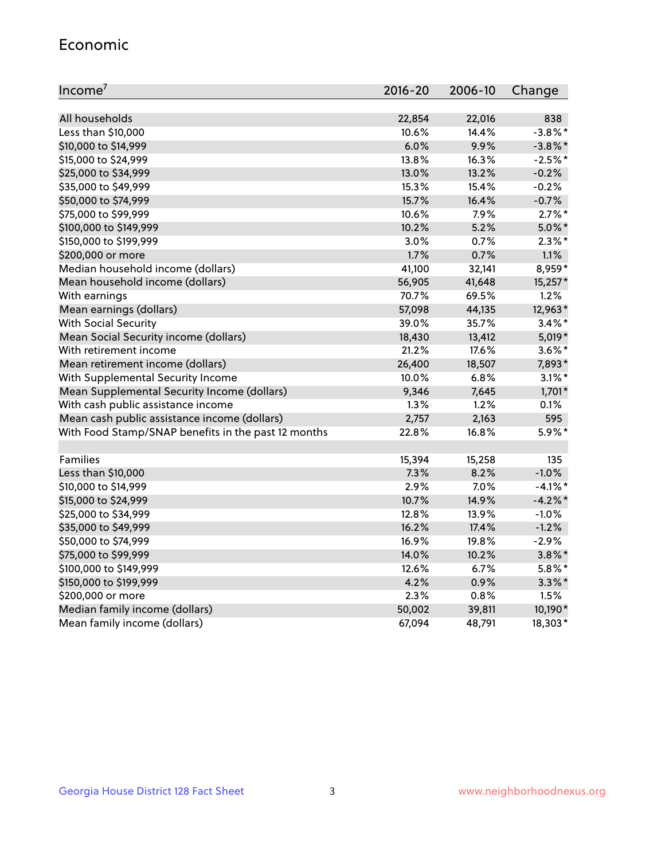#### Economic

| Income <sup>7</sup>                                 | $2016 - 20$ | 2006-10 | Change     |
|-----------------------------------------------------|-------------|---------|------------|
|                                                     |             |         |            |
| All households                                      | 22,854      | 22,016  | 838        |
| Less than \$10,000                                  | 10.6%       | 14.4%   | $-3.8\%$ * |
| \$10,000 to \$14,999                                | 6.0%        | 9.9%    | $-3.8\%$ * |
| \$15,000 to \$24,999                                | 13.8%       | 16.3%   | $-2.5%$ *  |
| \$25,000 to \$34,999                                | 13.0%       | 13.2%   | $-0.2%$    |
| \$35,000 to \$49,999                                | 15.3%       | 15.4%   | $-0.2%$    |
| \$50,000 to \$74,999                                | 15.7%       | 16.4%   | $-0.7%$    |
| \$75,000 to \$99,999                                | 10.6%       | 7.9%    | $2.7\%$ *  |
| \$100,000 to \$149,999                              | 10.2%       | 5.2%    | $5.0\%$ *  |
| \$150,000 to \$199,999                              | 3.0%        | 0.7%    | $2.3\%$ *  |
| \$200,000 or more                                   | 1.7%        | 0.7%    | 1.1%       |
| Median household income (dollars)                   | 41,100      | 32,141  | 8,959*     |
| Mean household income (dollars)                     | 56,905      | 41,648  | 15,257*    |
| With earnings                                       | 70.7%       | 69.5%   | 1.2%       |
| Mean earnings (dollars)                             | 57,098      | 44,135  | 12,963*    |
| <b>With Social Security</b>                         | 39.0%       | 35.7%   | $3.4\%$ *  |
| Mean Social Security income (dollars)               | 18,430      | 13,412  | 5,019*     |
| With retirement income                              | 21.2%       | 17.6%   | $3.6\%$ *  |
| Mean retirement income (dollars)                    | 26,400      | 18,507  | 7,893*     |
| With Supplemental Security Income                   | 10.0%       | 6.8%    | $3.1\%$ *  |
| Mean Supplemental Security Income (dollars)         | 9,346       | 7,645   | $1,701*$   |
| With cash public assistance income                  | 1.3%        | 1.2%    | 0.1%       |
| Mean cash public assistance income (dollars)        | 2,757       | 2,163   | 595        |
| With Food Stamp/SNAP benefits in the past 12 months | 22.8%       | 16.8%   | 5.9%*      |
|                                                     |             |         |            |
| Families                                            | 15,394      | 15,258  | 135        |
| Less than \$10,000                                  | 7.3%        | 8.2%    | $-1.0%$    |
| \$10,000 to \$14,999                                | 2.9%        | 7.0%    | $-4.1\%$ * |
| \$15,000 to \$24,999                                | 10.7%       | 14.9%   | $-4.2%$ *  |
| \$25,000 to \$34,999                                | 12.8%       | 13.9%   | $-1.0%$    |
| \$35,000 to \$49,999                                | 16.2%       | 17.4%   | $-1.2%$    |
| \$50,000 to \$74,999                                | 16.9%       | 19.8%   | $-2.9%$    |
| \$75,000 to \$99,999                                | 14.0%       | 10.2%   | $3.8\%$ *  |
| \$100,000 to \$149,999                              | 12.6%       | 6.7%    | $5.8\%$ *  |
| \$150,000 to \$199,999                              | 4.2%        | 0.9%    | $3.3\%$ *  |
| \$200,000 or more                                   | 2.3%        | 0.8%    | 1.5%       |
| Median family income (dollars)                      | 50,002      | 39,811  | 10,190*    |
| Mean family income (dollars)                        | 67,094      | 48,791  | 18,303*    |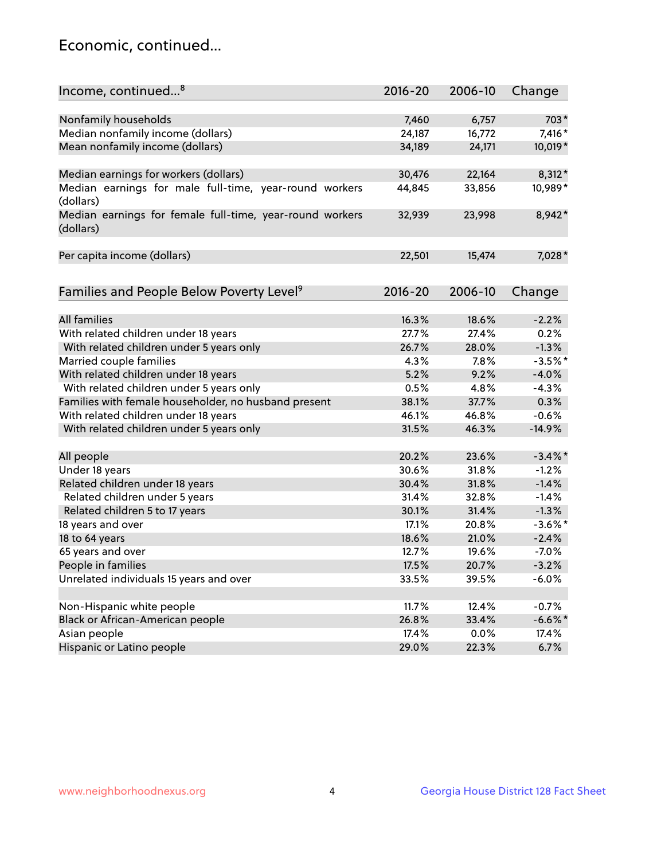## Economic, continued...

| Income, continued <sup>8</sup>                                        | $2016 - 20$ | 2006-10 | Change     |
|-----------------------------------------------------------------------|-------------|---------|------------|
|                                                                       |             |         |            |
| Nonfamily households                                                  | 7,460       | 6,757   | 703*       |
| Median nonfamily income (dollars)                                     | 24,187      | 16,772  | 7,416*     |
| Mean nonfamily income (dollars)                                       | 34,189      | 24,171  | 10,019*    |
| Median earnings for workers (dollars)                                 | 30,476      | 22,164  | 8,312*     |
| Median earnings for male full-time, year-round workers<br>(dollars)   | 44,845      | 33,856  | 10,989*    |
| Median earnings for female full-time, year-round workers<br>(dollars) | 32,939      | 23,998  | 8,942*     |
| Per capita income (dollars)                                           | 22,501      | 15,474  | 7,028*     |
|                                                                       |             |         |            |
| Families and People Below Poverty Level <sup>9</sup>                  | $2016 - 20$ | 2006-10 | Change     |
| <b>All families</b>                                                   | 16.3%       | 18.6%   | $-2.2%$    |
| With related children under 18 years                                  | 27.7%       | 27.4%   | 0.2%       |
| With related children under 5 years only                              | 26.7%       | 28.0%   | $-1.3%$    |
| Married couple families                                               | 4.3%        | 7.8%    | $-3.5%$ *  |
| With related children under 18 years                                  | 5.2%        | 9.2%    | $-4.0%$    |
| With related children under 5 years only                              | 0.5%        | 4.8%    | $-4.3%$    |
| Families with female householder, no husband present                  | 38.1%       | 37.7%   | 0.3%       |
| With related children under 18 years                                  | 46.1%       | 46.8%   | $-0.6%$    |
| With related children under 5 years only                              | 31.5%       | 46.3%   | $-14.9%$   |
| All people                                                            | 20.2%       | 23.6%   | $-3.4\%$ * |
| Under 18 years                                                        | 30.6%       | 31.8%   | $-1.2%$    |
| Related children under 18 years                                       | 30.4%       | 31.8%   | $-1.4%$    |
| Related children under 5 years                                        | 31.4%       | 32.8%   | $-1.4%$    |
| Related children 5 to 17 years                                        | 30.1%       | 31.4%   | $-1.3%$    |
| 18 years and over                                                     | 17.1%       | 20.8%   | $-3.6\%$ * |
| 18 to 64 years                                                        | 18.6%       | 21.0%   | $-2.4%$    |
| 65 years and over                                                     | 12.7%       | 19.6%   | $-7.0%$    |
| People in families                                                    | 17.5%       | 20.7%   | $-3.2%$    |
| Unrelated individuals 15 years and over                               | 33.5%       | 39.5%   | $-6.0%$    |
|                                                                       |             |         |            |
| Non-Hispanic white people                                             | 11.7%       | 12.4%   | $-0.7%$    |
| Black or African-American people                                      | 26.8%       | 33.4%   | $-6.6\%$ * |
| Asian people                                                          | 17.4%       | 0.0%    | 17.4%      |
| Hispanic or Latino people                                             | 29.0%       | 22.3%   | 6.7%       |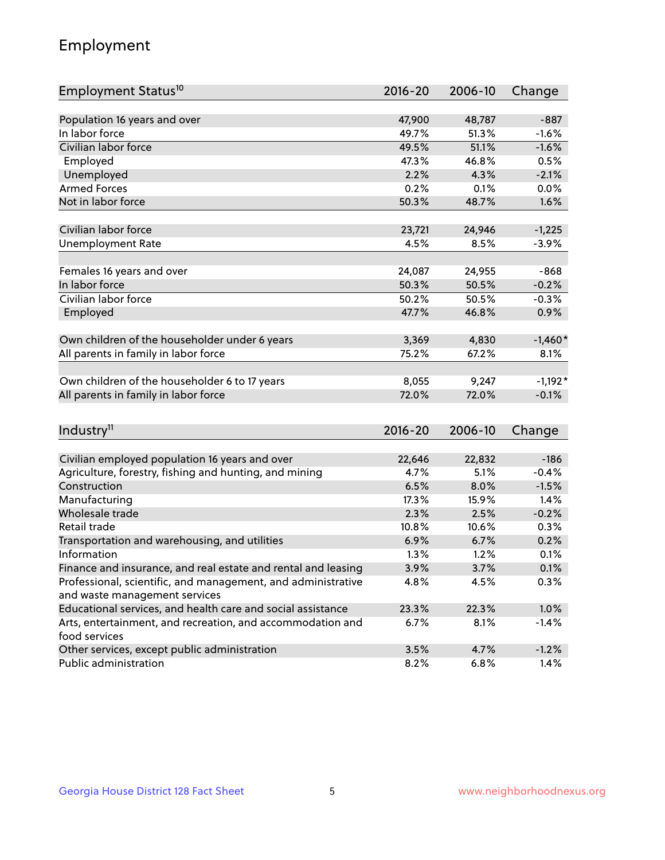## Employment

| Employment Status <sup>10</sup>                               | 2016-20     | 2006-10 | Change    |
|---------------------------------------------------------------|-------------|---------|-----------|
|                                                               |             |         |           |
| Population 16 years and over                                  | 47,900      | 48,787  | $-887$    |
| In labor force                                                | 49.7%       | 51.3%   | $-1.6%$   |
| Civilian labor force                                          | 49.5%       | 51.1%   | $-1.6%$   |
| Employed                                                      | 47.3%       | 46.8%   | 0.5%      |
| Unemployed                                                    | 2.2%        | 4.3%    | $-2.1%$   |
| <b>Armed Forces</b>                                           | 0.2%        | 0.1%    | 0.0%      |
| Not in labor force                                            | 50.3%       | 48.7%   | 1.6%      |
| Civilian labor force                                          |             |         |           |
|                                                               | 23,721      | 24,946  | $-1,225$  |
| <b>Unemployment Rate</b>                                      | 4.5%        | 8.5%    | $-3.9%$   |
| Females 16 years and over                                     | 24,087      | 24,955  | $-868$    |
| In labor force                                                | 50.3%       | 50.5%   | $-0.2%$   |
| Civilian labor force                                          | 50.2%       | 50.5%   | $-0.3%$   |
| Employed                                                      | 47.7%       | 46.8%   | 0.9%      |
|                                                               |             |         |           |
| Own children of the householder under 6 years                 | 3,369       | 4,830   | $-1,460*$ |
| All parents in family in labor force                          | 75.2%       | 67.2%   | 8.1%      |
|                                                               |             |         |           |
| Own children of the householder 6 to 17 years                 | 8,055       | 9,247   | $-1,192*$ |
| All parents in family in labor force                          | 72.0%       | 72.0%   | $-0.1%$   |
|                                                               |             |         |           |
| Industry <sup>11</sup>                                        | $2016 - 20$ | 2006-10 | Change    |
| Civilian employed population 16 years and over                | 22,646      | 22,832  | $-186$    |
| Agriculture, forestry, fishing and hunting, and mining        | 4.7%        | 5.1%    | $-0.4%$   |
| Construction                                                  | 6.5%        | 8.0%    | $-1.5%$   |
| Manufacturing                                                 | 17.3%       | 15.9%   | 1.4%      |
| Wholesale trade                                               | 2.3%        | 2.5%    | $-0.2%$   |
| Retail trade                                                  | 10.8%       | 10.6%   | 0.3%      |
| Transportation and warehousing, and utilities                 | 6.9%        | 6.7%    | 0.2%      |
| Information                                                   | 1.3%        | 1.2%    | 0.1%      |
| Finance and insurance, and real estate and rental and leasing | 3.9%        | 3.7%    | 0.1%      |
| Professional, scientific, and management, and administrative  | 4.8%        | 4.5%    | 0.3%      |
| and waste management services                                 |             |         |           |
| Educational services, and health care and social assistance   | 23.3%       | 22.3%   | 1.0%      |
| Arts, entertainment, and recreation, and accommodation and    | 6.7%        | 8.1%    | $-1.4%$   |
| food services                                                 |             |         |           |
| Other services, except public administration                  | 3.5%        | 4.7%    | $-1.2%$   |
| Public administration                                         | 8.2%        | 6.8%    | 1.4%      |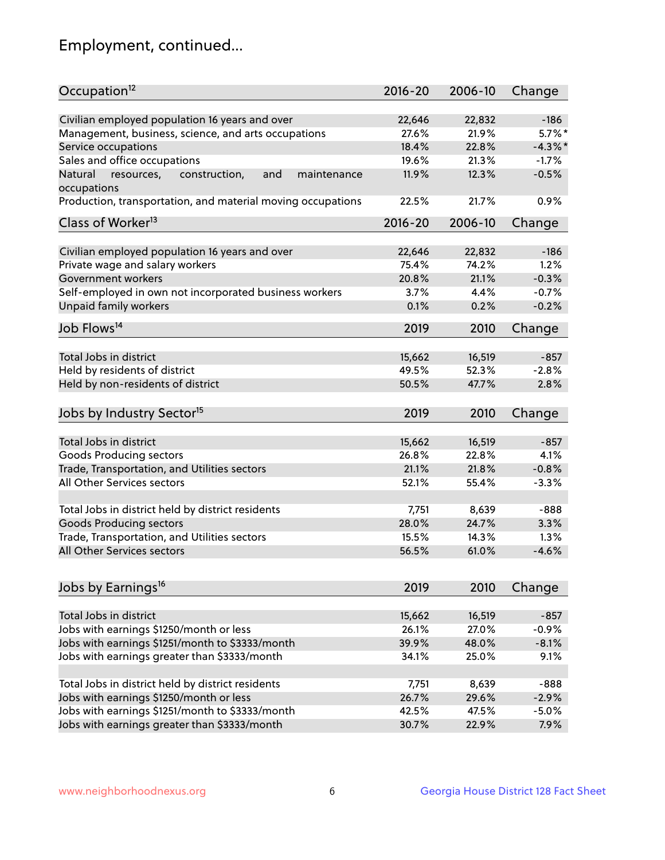## Employment, continued...

| Occupation <sup>12</sup>                                                    | $2016 - 20$ | 2006-10 | Change     |
|-----------------------------------------------------------------------------|-------------|---------|------------|
| Civilian employed population 16 years and over                              | 22,646      | 22,832  | $-186$     |
| Management, business, science, and arts occupations                         | 27.6%       | 21.9%   | $5.7\%$ *  |
| Service occupations                                                         | 18.4%       | 22.8%   | $-4.3\%$ * |
| Sales and office occupations                                                | 19.6%       | 21.3%   | $-1.7%$    |
|                                                                             |             |         | $-0.5%$    |
| Natural<br>and<br>resources,<br>construction,<br>maintenance<br>occupations | 11.9%       | 12.3%   |            |
| Production, transportation, and material moving occupations                 | 22.5%       | 21.7%   | 0.9%       |
| Class of Worker <sup>13</sup>                                               | $2016 - 20$ | 2006-10 | Change     |
|                                                                             |             |         |            |
| Civilian employed population 16 years and over                              | 22,646      | 22,832  | $-186$     |
| Private wage and salary workers                                             | 75.4%       | 74.2%   | 1.2%       |
| Government workers                                                          | 20.8%       | 21.1%   | $-0.3%$    |
| Self-employed in own not incorporated business workers                      | 3.7%        | 4.4%    | $-0.7%$    |
| Unpaid family workers                                                       | 0.1%        | 0.2%    | $-0.2%$    |
| Job Flows <sup>14</sup>                                                     | 2019        | 2010    | Change     |
|                                                                             |             |         |            |
| Total Jobs in district                                                      | 15,662      | 16,519  | $-857$     |
| Held by residents of district                                               | 49.5%       | 52.3%   | $-2.8%$    |
| Held by non-residents of district                                           | 50.5%       | 47.7%   | 2.8%       |
| Jobs by Industry Sector <sup>15</sup>                                       | 2019        | 2010    | Change     |
|                                                                             |             |         |            |
| Total Jobs in district                                                      | 15,662      | 16,519  | $-857$     |
| Goods Producing sectors                                                     | 26.8%       | 22.8%   | 4.1%       |
| Trade, Transportation, and Utilities sectors                                | 21.1%       | 21.8%   | $-0.8%$    |
| All Other Services sectors                                                  | 52.1%       | 55.4%   | $-3.3%$    |
|                                                                             |             |         |            |
| Total Jobs in district held by district residents                           | 7,751       | 8,639   | $-888$     |
| <b>Goods Producing sectors</b>                                              | 28.0%       | 24.7%   | 3.3%       |
| Trade, Transportation, and Utilities sectors                                | 15.5%       | 14.3%   | 1.3%       |
| All Other Services sectors                                                  | 56.5%       | 61.0%   | $-4.6%$    |
|                                                                             |             |         |            |
| Jobs by Earnings <sup>16</sup>                                              | 2019        | 2010    | Change     |
| Total Jobs in district                                                      | 15,662      | 16,519  | $-857$     |
| Jobs with earnings \$1250/month or less                                     | 26.1%       | 27.0%   | $-0.9%$    |
| Jobs with earnings \$1251/month to \$3333/month                             | 39.9%       | 48.0%   | $-8.1%$    |
| Jobs with earnings greater than \$3333/month                                | 34.1%       | 25.0%   | 9.1%       |
|                                                                             |             |         |            |
| Total Jobs in district held by district residents                           | 7,751       | 8,639   | $-888$     |
| Jobs with earnings \$1250/month or less                                     | 26.7%       | 29.6%   | $-2.9%$    |
| Jobs with earnings \$1251/month to \$3333/month                             | 42.5%       | 47.5%   | $-5.0%$    |
| Jobs with earnings greater than \$3333/month                                | 30.7%       | 22.9%   | 7.9%       |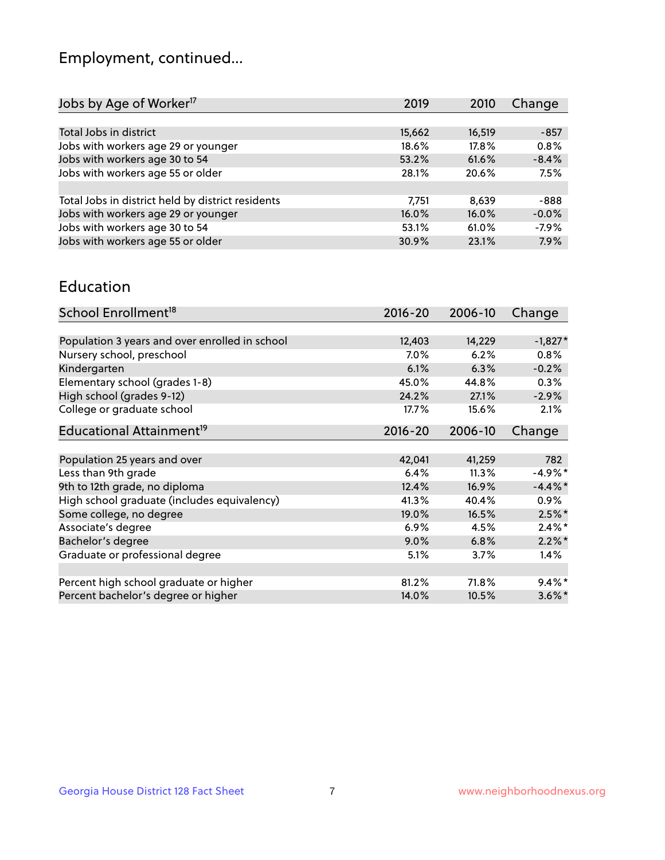## Employment, continued...

| Change  |
|---------|
|         |
| $-857$  |
| 0.8%    |
| $-8.4%$ |
| 7.5%    |
|         |
| -888    |
| $-0.0%$ |
| $-7.9%$ |
| 7.9%    |
|         |

#### Education

| School Enrollment <sup>18</sup>                | $2016 - 20$ | 2006-10 | Change     |
|------------------------------------------------|-------------|---------|------------|
|                                                |             |         |            |
| Population 3 years and over enrolled in school | 12,403      | 14,229  | $-1,827*$  |
| Nursery school, preschool                      | 7.0%        | 6.2%    | $0.8\%$    |
| Kindergarten                                   | 6.1%        | 6.3%    | $-0.2%$    |
| Elementary school (grades 1-8)                 | 45.0%       | 44.8%   | 0.3%       |
| High school (grades 9-12)                      | 24.2%       | 27.1%   | $-2.9%$    |
| College or graduate school                     | 17.7%       | 15.6%   | 2.1%       |
| Educational Attainment <sup>19</sup>           | $2016 - 20$ | 2006-10 | Change     |
|                                                |             |         |            |
| Population 25 years and over                   | 42,041      | 41,259  | 782        |
| Less than 9th grade                            | 6.4%        | 11.3%   | $-4.9%$ *  |
| 9th to 12th grade, no diploma                  | 12.4%       | 16.9%   | $-4.4\%$ * |
| High school graduate (includes equivalency)    | 41.3%       | 40.4%   | $0.9\%$    |
| Some college, no degree                        | 19.0%       | 16.5%   | $2.5\%$ *  |
| Associate's degree                             | 6.9%        | 4.5%    | $2.4\%$ *  |
| Bachelor's degree                              | 9.0%        | 6.8%    | $2.2\%$ *  |
| Graduate or professional degree                | 5.1%        | 3.7%    | $1.4\%$    |
|                                                |             |         |            |
| Percent high school graduate or higher         | 81.2%       | 71.8%   | $9.4\%$ *  |
| Percent bachelor's degree or higher            | 14.0%       | 10.5%   | $3.6\%$ *  |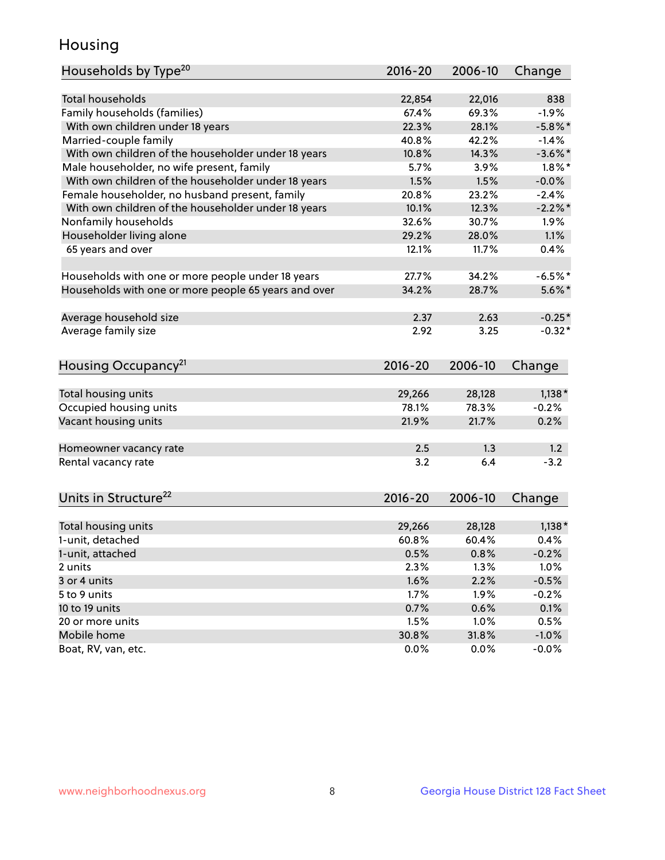## Housing

| Households by Type <sup>20</sup><br>2016-20<br>2006-10<br>Change<br>Total households<br>22,854<br>22,016<br>838<br>Family households (families)<br>67.4%<br>$-1.9%$<br>69.3%<br>With own children under 18 years<br>22.3%<br>28.1%<br>$-5.8\%$ *<br>Married-couple family<br>40.8%<br>42.2%<br>$-1.4%$<br>With own children of the householder under 18 years<br>14.3%<br>$-3.6\%$ *<br>10.8%<br>Male householder, no wife present, family<br>5.7%<br>3.9%<br>$1.8\%$ *<br>With own children of the householder under 18 years<br>1.5%<br>1.5%<br>$-0.0%$<br>Female householder, no husband present, family<br>20.8%<br>23.2%<br>$-2.4%$<br>With own children of the householder under 18 years<br>$-2.2%$<br>10.1%<br>12.3%<br>Nonfamily households<br>32.6%<br>1.9%<br>30.7%<br>Householder living alone<br>29.2%<br>28.0%<br>1.1%<br>11.7%<br>65 years and over<br>12.1%<br>0.4%<br>Households with one or more people under 18 years<br>27.7%<br>34.2%<br>$-6.5%$<br>Households with one or more people 65 years and over<br>$5.6\%$ *<br>34.2%<br>28.7%<br>2.37<br>2.63<br>$-0.25*$ |
|------------------------------------------------------------------------------------------------------------------------------------------------------------------------------------------------------------------------------------------------------------------------------------------------------------------------------------------------------------------------------------------------------------------------------------------------------------------------------------------------------------------------------------------------------------------------------------------------------------------------------------------------------------------------------------------------------------------------------------------------------------------------------------------------------------------------------------------------------------------------------------------------------------------------------------------------------------------------------------------------------------------------------------------------------------------------------------------|
|                                                                                                                                                                                                                                                                                                                                                                                                                                                                                                                                                                                                                                                                                                                                                                                                                                                                                                                                                                                                                                                                                          |
|                                                                                                                                                                                                                                                                                                                                                                                                                                                                                                                                                                                                                                                                                                                                                                                                                                                                                                                                                                                                                                                                                          |
|                                                                                                                                                                                                                                                                                                                                                                                                                                                                                                                                                                                                                                                                                                                                                                                                                                                                                                                                                                                                                                                                                          |
|                                                                                                                                                                                                                                                                                                                                                                                                                                                                                                                                                                                                                                                                                                                                                                                                                                                                                                                                                                                                                                                                                          |
|                                                                                                                                                                                                                                                                                                                                                                                                                                                                                                                                                                                                                                                                                                                                                                                                                                                                                                                                                                                                                                                                                          |
|                                                                                                                                                                                                                                                                                                                                                                                                                                                                                                                                                                                                                                                                                                                                                                                                                                                                                                                                                                                                                                                                                          |
|                                                                                                                                                                                                                                                                                                                                                                                                                                                                                                                                                                                                                                                                                                                                                                                                                                                                                                                                                                                                                                                                                          |
|                                                                                                                                                                                                                                                                                                                                                                                                                                                                                                                                                                                                                                                                                                                                                                                                                                                                                                                                                                                                                                                                                          |
|                                                                                                                                                                                                                                                                                                                                                                                                                                                                                                                                                                                                                                                                                                                                                                                                                                                                                                                                                                                                                                                                                          |
|                                                                                                                                                                                                                                                                                                                                                                                                                                                                                                                                                                                                                                                                                                                                                                                                                                                                                                                                                                                                                                                                                          |
|                                                                                                                                                                                                                                                                                                                                                                                                                                                                                                                                                                                                                                                                                                                                                                                                                                                                                                                                                                                                                                                                                          |
|                                                                                                                                                                                                                                                                                                                                                                                                                                                                                                                                                                                                                                                                                                                                                                                                                                                                                                                                                                                                                                                                                          |
|                                                                                                                                                                                                                                                                                                                                                                                                                                                                                                                                                                                                                                                                                                                                                                                                                                                                                                                                                                                                                                                                                          |
|                                                                                                                                                                                                                                                                                                                                                                                                                                                                                                                                                                                                                                                                                                                                                                                                                                                                                                                                                                                                                                                                                          |
|                                                                                                                                                                                                                                                                                                                                                                                                                                                                                                                                                                                                                                                                                                                                                                                                                                                                                                                                                                                                                                                                                          |
|                                                                                                                                                                                                                                                                                                                                                                                                                                                                                                                                                                                                                                                                                                                                                                                                                                                                                                                                                                                                                                                                                          |
|                                                                                                                                                                                                                                                                                                                                                                                                                                                                                                                                                                                                                                                                                                                                                                                                                                                                                                                                                                                                                                                                                          |
| Average household size                                                                                                                                                                                                                                                                                                                                                                                                                                                                                                                                                                                                                                                                                                                                                                                                                                                                                                                                                                                                                                                                   |
| Average family size<br>2.92<br>3.25<br>$-0.32*$                                                                                                                                                                                                                                                                                                                                                                                                                                                                                                                                                                                                                                                                                                                                                                                                                                                                                                                                                                                                                                          |
|                                                                                                                                                                                                                                                                                                                                                                                                                                                                                                                                                                                                                                                                                                                                                                                                                                                                                                                                                                                                                                                                                          |
| Housing Occupancy <sup>21</sup><br>2016-20<br>2006-10<br>Change                                                                                                                                                                                                                                                                                                                                                                                                                                                                                                                                                                                                                                                                                                                                                                                                                                                                                                                                                                                                                          |
|                                                                                                                                                                                                                                                                                                                                                                                                                                                                                                                                                                                                                                                                                                                                                                                                                                                                                                                                                                                                                                                                                          |
| Total housing units<br>$1,138*$<br>29,266<br>28,128                                                                                                                                                                                                                                                                                                                                                                                                                                                                                                                                                                                                                                                                                                                                                                                                                                                                                                                                                                                                                                      |
| Occupied housing units<br>$-0.2%$<br>78.1%<br>78.3%                                                                                                                                                                                                                                                                                                                                                                                                                                                                                                                                                                                                                                                                                                                                                                                                                                                                                                                                                                                                                                      |
| Vacant housing units<br>0.2%<br>21.9%<br>21.7%                                                                                                                                                                                                                                                                                                                                                                                                                                                                                                                                                                                                                                                                                                                                                                                                                                                                                                                                                                                                                                           |
|                                                                                                                                                                                                                                                                                                                                                                                                                                                                                                                                                                                                                                                                                                                                                                                                                                                                                                                                                                                                                                                                                          |
| 2.5<br>1.3<br>1.2<br>Homeowner vacancy rate                                                                                                                                                                                                                                                                                                                                                                                                                                                                                                                                                                                                                                                                                                                                                                                                                                                                                                                                                                                                                                              |
| Rental vacancy rate<br>3.2<br>6.4<br>$-3.2$                                                                                                                                                                                                                                                                                                                                                                                                                                                                                                                                                                                                                                                                                                                                                                                                                                                                                                                                                                                                                                              |
|                                                                                                                                                                                                                                                                                                                                                                                                                                                                                                                                                                                                                                                                                                                                                                                                                                                                                                                                                                                                                                                                                          |
| Units in Structure <sup>22</sup><br>2016-20<br>2006-10<br>Change                                                                                                                                                                                                                                                                                                                                                                                                                                                                                                                                                                                                                                                                                                                                                                                                                                                                                                                                                                                                                         |
|                                                                                                                                                                                                                                                                                                                                                                                                                                                                                                                                                                                                                                                                                                                                                                                                                                                                                                                                                                                                                                                                                          |
| Total housing units<br>29,266<br>28,128<br>$1,138*$                                                                                                                                                                                                                                                                                                                                                                                                                                                                                                                                                                                                                                                                                                                                                                                                                                                                                                                                                                                                                                      |
| 1-unit, detached<br>60.8%<br>60.4%<br>0.4%                                                                                                                                                                                                                                                                                                                                                                                                                                                                                                                                                                                                                                                                                                                                                                                                                                                                                                                                                                                                                                               |
| 0.5%<br>0.8%<br>$-0.2%$<br>1-unit, attached                                                                                                                                                                                                                                                                                                                                                                                                                                                                                                                                                                                                                                                                                                                                                                                                                                                                                                                                                                                                                                              |
| 2.3%<br>1.3%<br>1.0%<br>2 units                                                                                                                                                                                                                                                                                                                                                                                                                                                                                                                                                                                                                                                                                                                                                                                                                                                                                                                                                                                                                                                          |
| 1.6%<br>2.2%<br>$-0.5%$<br>3 or 4 units                                                                                                                                                                                                                                                                                                                                                                                                                                                                                                                                                                                                                                                                                                                                                                                                                                                                                                                                                                                                                                                  |
| 1.7%<br>5 to 9 units<br>1.9%<br>$-0.2%$                                                                                                                                                                                                                                                                                                                                                                                                                                                                                                                                                                                                                                                                                                                                                                                                                                                                                                                                                                                                                                                  |
| 10 to 19 units<br>0.7%<br>0.6%<br>0.1%                                                                                                                                                                                                                                                                                                                                                                                                                                                                                                                                                                                                                                                                                                                                                                                                                                                                                                                                                                                                                                                   |
| 20 or more units<br>1.5%<br>1.0%<br>0.5%                                                                                                                                                                                                                                                                                                                                                                                                                                                                                                                                                                                                                                                                                                                                                                                                                                                                                                                                                                                                                                                 |
| Mobile home<br>30.8%<br>31.8%<br>$-1.0%$                                                                                                                                                                                                                                                                                                                                                                                                                                                                                                                                                                                                                                                                                                                                                                                                                                                                                                                                                                                                                                                 |
| Boat, RV, van, etc.<br>0.0%<br>0.0%<br>$-0.0%$                                                                                                                                                                                                                                                                                                                                                                                                                                                                                                                                                                                                                                                                                                                                                                                                                                                                                                                                                                                                                                           |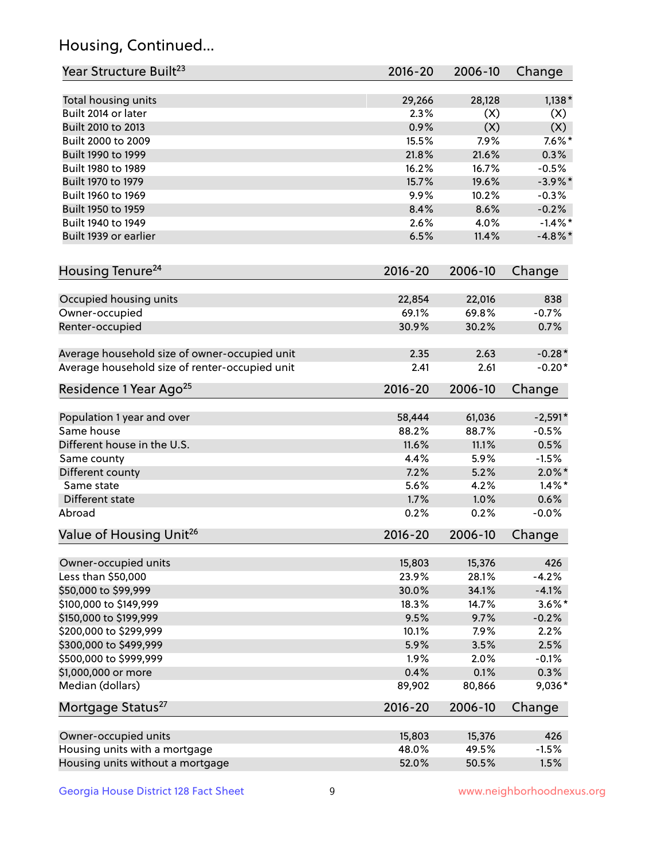## Housing, Continued...

| Year Structure Built <sup>23</sup>             | 2016-20     | 2006-10 | Change     |
|------------------------------------------------|-------------|---------|------------|
| Total housing units                            | 29,266      | 28,128  | $1,138*$   |
| Built 2014 or later                            | 2.3%        | (X)     | (X)        |
| Built 2010 to 2013                             | 0.9%        | (X)     | (X)        |
| Built 2000 to 2009                             | 15.5%       | 7.9%    | $7.6\%$ *  |
| Built 1990 to 1999                             | 21.8%       | 21.6%   | 0.3%       |
| Built 1980 to 1989                             | 16.2%       | 16.7%   | $-0.5%$    |
| Built 1970 to 1979                             | 15.7%       | 19.6%   | $-3.9\%$ * |
| Built 1960 to 1969                             | 9.9%        | 10.2%   | $-0.3%$    |
| Built 1950 to 1959                             | 8.4%        | 8.6%    | $-0.2%$    |
| Built 1940 to 1949                             | 2.6%        | 4.0%    | $-1.4\%$ * |
| Built 1939 or earlier                          | 6.5%        | 11.4%   | $-4.8\%$ * |
|                                                |             |         |            |
| Housing Tenure <sup>24</sup>                   | $2016 - 20$ | 2006-10 | Change     |
| Occupied housing units                         | 22,854      | 22,016  | 838        |
| Owner-occupied                                 | 69.1%       | 69.8%   | $-0.7%$    |
| Renter-occupied                                | 30.9%       | 30.2%   | 0.7%       |
| Average household size of owner-occupied unit  | 2.35        | 2.63    | $-0.28*$   |
| Average household size of renter-occupied unit | 2.41        | 2.61    | $-0.20*$   |
| Residence 1 Year Ago <sup>25</sup>             | $2016 - 20$ | 2006-10 | Change     |
| Population 1 year and over                     | 58,444      | 61,036  | $-2,591*$  |
| Same house                                     | 88.2%       | 88.7%   | $-0.5%$    |
| Different house in the U.S.                    | 11.6%       | 11.1%   | 0.5%       |
| Same county                                    | 4.4%        | 5.9%    | $-1.5%$    |
| Different county                               | 7.2%        | 5.2%    | $2.0\%$ *  |
| Same state                                     | 5.6%        | 4.2%    | $1.4\%$ *  |
| Different state                                | 1.7%        | 1.0%    | 0.6%       |
| Abroad                                         | 0.2%        | 0.2%    | $-0.0%$    |
| Value of Housing Unit <sup>26</sup>            | $2016 - 20$ | 2006-10 | Change     |
| Owner-occupied units                           | 15,803      | 15,376  | 426        |
| Less than \$50,000                             | 23.9%       | 28.1%   | $-4.2%$    |
| \$50,000 to \$99,999                           | 30.0%       | 34.1%   | $-4.1%$    |
| \$100,000 to \$149,999                         | 18.3%       | 14.7%   | $3.6\%$ *  |
| \$150,000 to \$199,999                         | 9.5%        | 9.7%    | $-0.2%$    |
| \$200,000 to \$299,999                         | 10.1%       | 7.9%    | 2.2%       |
| \$300,000 to \$499,999                         | 5.9%        | 3.5%    | 2.5%       |
| \$500,000 to \$999,999                         | 1.9%        | 2.0%    | $-0.1%$    |
| \$1,000,000 or more                            | 0.4%        | 0.1%    | 0.3%       |
| Median (dollars)                               | 89,902      | 80,866  | 9,036*     |
| Mortgage Status <sup>27</sup>                  | $2016 - 20$ | 2006-10 | Change     |
|                                                |             |         |            |
| Owner-occupied units                           | 15,803      | 15,376  | 426        |
| Housing units with a mortgage                  | 48.0%       | 49.5%   | $-1.5%$    |
| Housing units without a mortgage               | 52.0%       | 50.5%   | 1.5%       |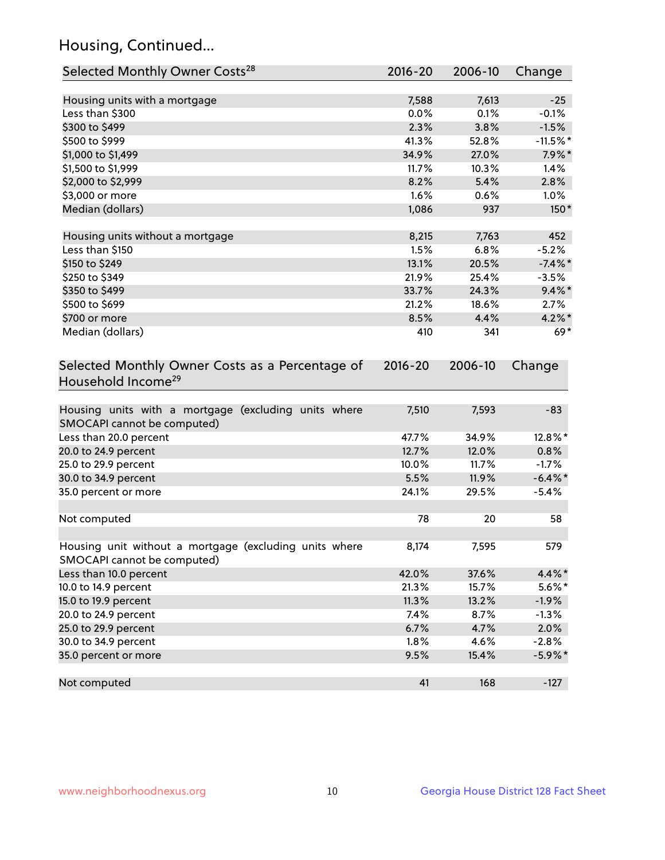## Housing, Continued...

| Selected Monthly Owner Costs <sup>28</sup>                                            | $2016 - 20$ | 2006-10 | Change     |
|---------------------------------------------------------------------------------------|-------------|---------|------------|
| Housing units with a mortgage                                                         | 7,588       | 7,613   | $-25$      |
| Less than \$300                                                                       | 0.0%        | 0.1%    | $-0.1%$    |
| \$300 to \$499                                                                        | 2.3%        | 3.8%    | $-1.5%$    |
| \$500 to \$999                                                                        | 41.3%       | 52.8%   | $-11.5%$ * |
| \$1,000 to \$1,499                                                                    | 34.9%       | 27.0%   | $7.9\%$ *  |
| \$1,500 to \$1,999                                                                    | 11.7%       | 10.3%   | 1.4%       |
| \$2,000 to \$2,999                                                                    | 8.2%        | 5.4%    | 2.8%       |
| \$3,000 or more                                                                       | 1.6%        | 0.6%    | $1.0\%$    |
| Median (dollars)                                                                      | 1,086       | 937     | 150*       |
|                                                                                       |             |         |            |
| Housing units without a mortgage                                                      | 8,215       | 7,763   | 452        |
| Less than \$150                                                                       | 1.5%        | 6.8%    | $-5.2%$    |
| \$150 to \$249                                                                        | 13.1%       | 20.5%   | $-7.4\%$ * |
| \$250 to \$349                                                                        | 21.9%       | 25.4%   | $-3.5%$    |
| \$350 to \$499                                                                        | 33.7%       | 24.3%   | $9.4\%$ *  |
| \$500 to \$699                                                                        | 21.2%       | 18.6%   | 2.7%       |
| \$700 or more                                                                         | 8.5%        | 4.4%    | $4.2\%$ *  |
| Median (dollars)                                                                      | 410         | 341     | $69*$      |
| Selected Monthly Owner Costs as a Percentage of<br>Household Income <sup>29</sup>     | $2016 - 20$ | 2006-10 | Change     |
| Housing units with a mortgage (excluding units where<br>SMOCAPI cannot be computed)   | 7,510       | 7,593   | $-83$      |
| Less than 20.0 percent                                                                | 47.7%       | 34.9%   | 12.8%*     |
| 20.0 to 24.9 percent                                                                  | 12.7%       | 12.0%   | 0.8%       |
| 25.0 to 29.9 percent                                                                  | 10.0%       | 11.7%   | $-1.7%$    |
| 30.0 to 34.9 percent                                                                  | 5.5%        | 11.9%   | $-6.4\%$ * |
| 35.0 percent or more                                                                  | 24.1%       | 29.5%   | $-5.4%$    |
| Not computed                                                                          | 78          | 20      | 58         |
| Housing unit without a mortgage (excluding units where<br>SMOCAPI cannot be computed) | 8,174       | 7,595   | 579        |
| Less than 10.0 percent                                                                | 42.0%       | 37.6%   | 4.4%*      |
| 10.0 to 14.9 percent                                                                  | 21.3%       | 15.7%   | $5.6\%$ *  |
| 15.0 to 19.9 percent                                                                  | 11.3%       | 13.2%   | $-1.9%$    |
| 20.0 to 24.9 percent                                                                  | 7.4%        | 8.7%    | $-1.3%$    |
| 25.0 to 29.9 percent                                                                  | 6.7%        | 4.7%    | 2.0%       |
| 30.0 to 34.9 percent                                                                  | 1.8%        | 4.6%    | $-2.8%$    |
| 35.0 percent or more                                                                  | 9.5%        | 15.4%   | $-5.9\%$ * |
| Not computed                                                                          | 41          | 168     | $-127$     |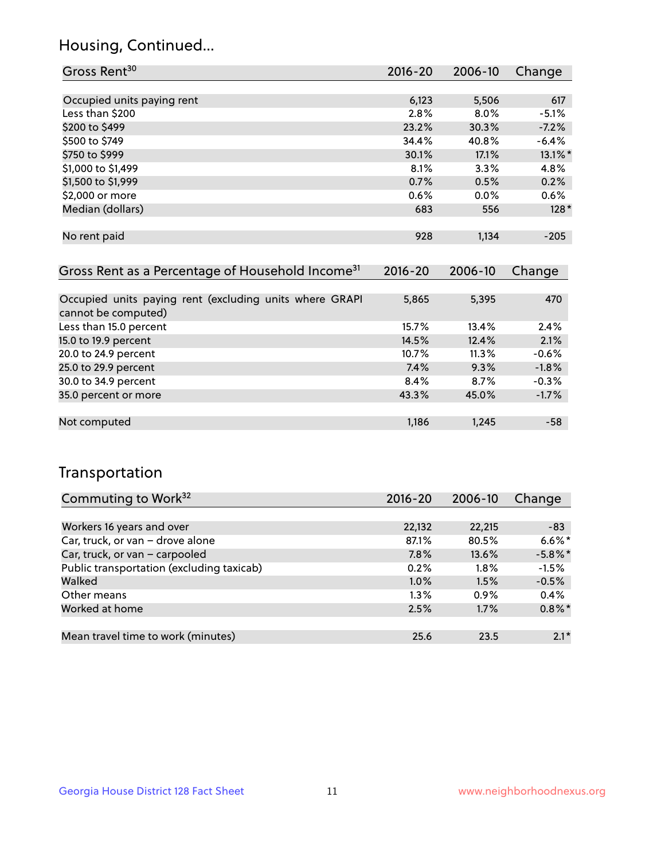## Housing, Continued...

| Gross Rent <sup>30</sup>                                                       | 2016-20     | 2006-10 | Change     |
|--------------------------------------------------------------------------------|-------------|---------|------------|
|                                                                                |             |         |            |
| Occupied units paying rent                                                     | 6,123       | 5,506   | 617        |
| Less than \$200                                                                | 2.8%        | 8.0%    | $-5.1%$    |
| \$200 to \$499                                                                 | 23.2%       | 30.3%   | $-7.2%$    |
| \$500 to \$749                                                                 | 34.4%       | 40.8%   | $-6.4%$    |
| \$750 to \$999                                                                 | 30.1%       | 17.1%   | $13.1\%$ * |
| \$1,000 to \$1,499                                                             | 8.1%        | 3.3%    | 4.8%       |
| \$1,500 to \$1,999                                                             | 0.7%        | 0.5%    | 0.2%       |
| \$2,000 or more                                                                | 0.6%        | $0.0\%$ | 0.6%       |
| Median (dollars)                                                               | 683         | 556     | $128*$     |
| No rent paid                                                                   | 928         | 1,134   | $-205$     |
| Gross Rent as a Percentage of Household Income <sup>31</sup>                   | $2016 - 20$ | 2006-10 | Change     |
| Occupied units paying rent (excluding units where GRAPI<br>cannot be computed) | 5,865       | 5,395   | 470        |
| Less than 15.0 percent                                                         | 15.7%       | 13.4%   | 2.4%       |
| 15.0 to 19.9 percent                                                           | 14.5%       | 12.4%   | 2.1%       |
| 20.0 to 24.9 percent                                                           | 10.7%       | 11.3%   | $-0.6%$    |
| 25.0 to 29.9 percent                                                           | 7.4%        | 9.3%    | $-1.8%$    |
| 30.0 to 34.9 percent                                                           | 8.4%        | 8.7%    | $-0.3%$    |
| 35.0 percent or more                                                           | 43.3%       | 45.0%   | $-1.7%$    |
| Not computed                                                                   | 1,186       | 1,245   | $-58$      |

## Transportation

| Commuting to Work <sup>32</sup>           | 2016-20 | 2006-10 | Change     |
|-------------------------------------------|---------|---------|------------|
|                                           |         |         |            |
| Workers 16 years and over                 | 22,132  | 22,215  | $-83$      |
| Car, truck, or van - drove alone          | 87.1%   | 80.5%   | $6.6\%$ *  |
| Car, truck, or van - carpooled            | 7.8%    | 13.6%   | $-5.8\%$ * |
| Public transportation (excluding taxicab) | 0.2%    | $1.8\%$ | $-1.5%$    |
| Walked                                    | 1.0%    | 1.5%    | $-0.5%$    |
| Other means                               | $1.3\%$ | 0.9%    | 0.4%       |
| Worked at home                            | 2.5%    | 1.7%    | $0.8\%$ *  |
|                                           |         |         |            |
| Mean travel time to work (minutes)        | 25.6    | 23.5    | $2.1*$     |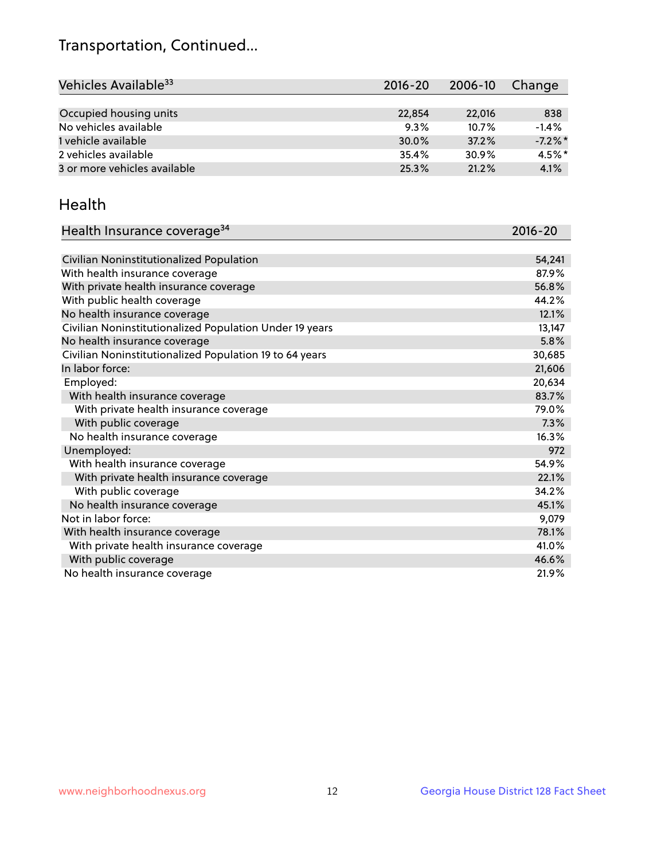## Transportation, Continued...

| Vehicles Available <sup>33</sup> | $2016 - 20$ | 2006-10 | Change     |
|----------------------------------|-------------|---------|------------|
|                                  |             |         |            |
| Occupied housing units           | 22,854      | 22,016  | 838        |
| No vehicles available            | 9.3%        | 10.7%   | $-1.4%$    |
| 1 vehicle available              | 30.0%       | 37.2%   | $-7.2\%$ * |
| 2 vehicles available             | 35.4%       | 30.9%   | $4.5%$ *   |
| 3 or more vehicles available     | 25.3%       | 21.2%   | 4.1%       |

#### Health

| Health Insurance coverage <sup>34</sup>                 | 2016-20 |
|---------------------------------------------------------|---------|
|                                                         |         |
| Civilian Noninstitutionalized Population                | 54,241  |
| With health insurance coverage                          | 87.9%   |
| With private health insurance coverage                  | 56.8%   |
| With public health coverage                             | 44.2%   |
| No health insurance coverage                            | 12.1%   |
| Civilian Noninstitutionalized Population Under 19 years | 13,147  |
| No health insurance coverage                            | 5.8%    |
| Civilian Noninstitutionalized Population 19 to 64 years | 30,685  |
| In labor force:                                         | 21,606  |
| Employed:                                               | 20,634  |
| With health insurance coverage                          | 83.7%   |
| With private health insurance coverage                  | 79.0%   |
| With public coverage                                    | 7.3%    |
| No health insurance coverage                            | 16.3%   |
| Unemployed:                                             | 972     |
| With health insurance coverage                          | 54.9%   |
| With private health insurance coverage                  | 22.1%   |
| With public coverage                                    | 34.2%   |
| No health insurance coverage                            | 45.1%   |
| Not in labor force:                                     | 9,079   |
| With health insurance coverage                          | 78.1%   |
| With private health insurance coverage                  | 41.0%   |
| With public coverage                                    | 46.6%   |
| No health insurance coverage                            | 21.9%   |